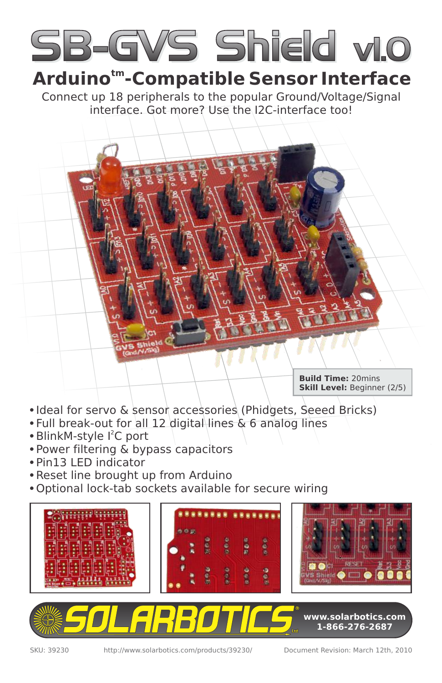

### **tm Arduino -Compatible Sensor Interface**

Connect up 18 peripherals to the popular Ground/Voltage/Signal interface. Got more? Use the I2C-interface too!

> **Build Time:** 20mins **Skill Level:** Beginner (2/5)

- Ideal for servo & sensor accessories (Phidgets, Seeed Bricks)
- Full break-out for all 12 digital lines & 6 analog lines
- · BlinkM-style I<sup>2</sup>C port
- Power filtering & bypass capacitors
- Pin13 LED indicator
- Reset line brought up from Arduino
- Optional lock-tab sockets available for secure wiring

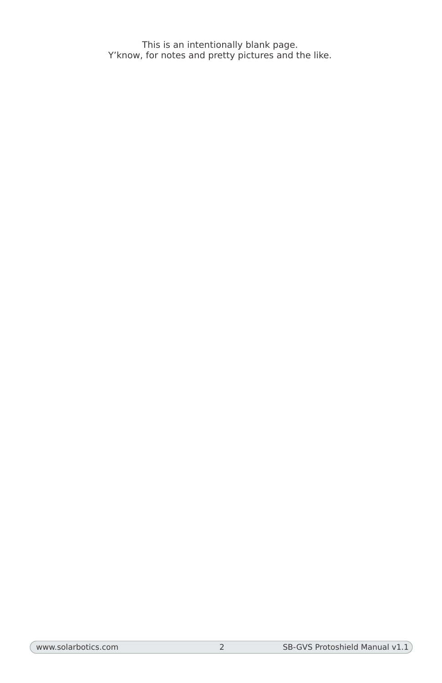This is an intentionally blank page. Y'know, for notes and pretty pictures and the like.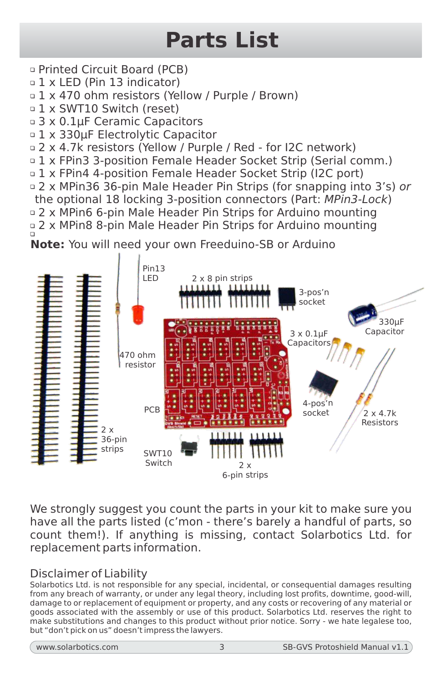# **Parts List**

- Printed Circuit Board (PCB)
- 1 x LED (Pin 13 indicator)

 $\circ$  1 x 470 ohm resistors (Yellow / Purple / Brown)

- 1 x SWT10 Switch (reset)
- □ 3 x 0.1uF Ceramic Capacitors
- 1 x 330µF Electrolytic Capacitor
- 2 x 4.7k resistors (Yellow / Purple / Red for I2C network)
- **1 x FPin3 3-position Female Header Socket Strip (Serial comm.)**
- 1 x FPin4 4-position Female Header Socket Strip (I2C port)
- □ 2 x MPin36 36-pin Male Header Pin Strips (for snapping into 3's) or
- the optional 18 locking 3-position connectors (Part: MPin3-Lock) 2 x MPin6 6-pin Male Header Pin Strips for Arduino mounting
- p 2 x MPin8 8-pin Male Header Pin Strips for Arduino mounting





We strongly suggest you count the parts in your kit to make sure you have all the parts listed (c'mon - there's barely a handful of parts, so count them!). If anything is missing, contact Solarbotics Ltd. for replacement parts information.

### Disclaimer of Liability

Solarbotics Ltd. is not responsible for any special, incidental, or consequential damages resulting from any breach of warranty, or under any legal theory, including lost profits, downtime, good-will, damage to or replacement of equipment or property, and any costs or recovering of any material or goods associated with the assembly or use of this product. Solarbotics Ltd. reserves the right to make substitutions and changes to this product without prior notice. Sorry - we hate legalese too, but "don't pick on us" doesn't impress the lawyers.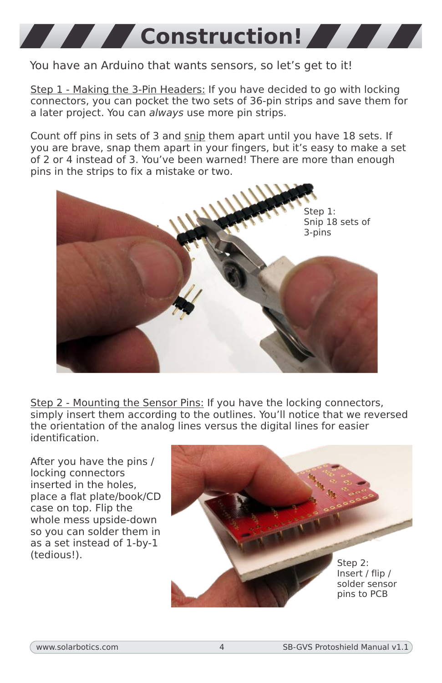

### You have an Arduino that wants sensors, so let's get to it!

Step 1 - Making the 3-Pin Headers: If you have decided to go with locking connectors, you can pocket the two sets of 36-pin strips and save them for a later project. You can always use more pin strips.

Count off pins in sets of 3 and snip them apart until you have 18 sets. If you are brave, snap them apart in your fingers, but it's easy to make a set of 2 or 4 instead of 3. You've been warned! There are more than enough pins in the strips to fix a mistake or two.



Step 2 - Mounting the Sensor Pins: If you have the locking connectors, simply insert them according to the outlines. You'll notice that we reversed the orientation of the analog lines versus the digital lines for easier identification.

After you have the pins / locking connectors inserted in the holes, place a flat plate/book/CD case on top. Flip the whole mess upside-down so you can solder them in as a set instead of 1-by-1 (tedious!).

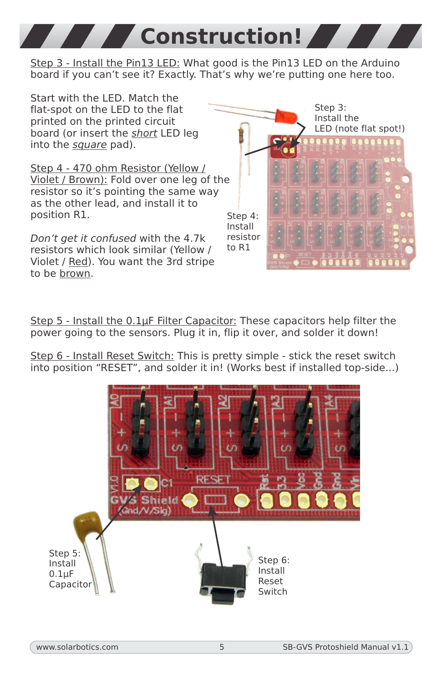Step 3 - Install the Pin13 LED: What good is the Pin13 LED on the Arduino board if you can't see it? Exactly. That's why we're putting one here too.

**Construction!** 

Start with the LED. Match the flat-spot on the LED to the flat printed on the printed circuit board (or insert the short LED leg into the square pad).

Step 4 - 470 ohm Resistor (Yellow / Violet / Brown): Fold over one leg of the resistor so it's pointing the same way as the other lead, and install it to position R1.

Don't get it confused with the 4.7k resistors which look similar (Yellow / Violet / Red). You want the 3rd stripe to be brown.

Step 3: Install the LED (note flat spot!) Step 4: Install resistor to R1

Step 5 - Install the  $0.1\mu$ F Filter Capacitor: These capacitors help filter the power going to the sensors. Plug it in, flip it over, and solder it down!

Step 6 - Install Reset Switch: This is pretty simple - stick the reset switch into position "RESET", and solder it in! (Works best if installed top-side...)

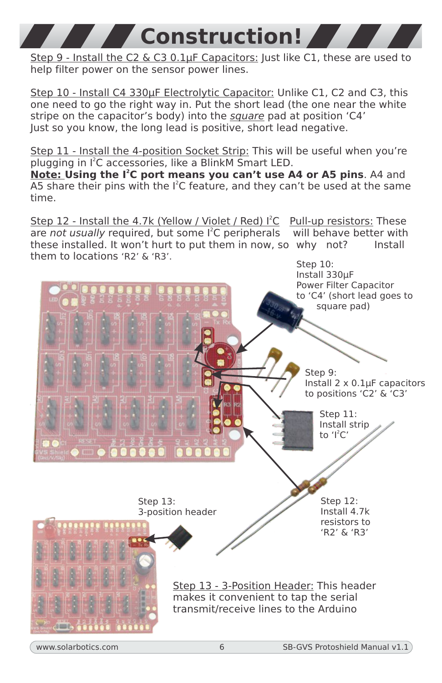Step 9 - Install the C2 & C3 0.1µF Capacitors: Just like C1, these are used to help filter power on the sensor power lines.

**Construction!**

Step 10 - Install C4 330µF Electrolytic Capacitor: Unlike C1, C2 and C3, this one need to go the right way in. Put the short lead (the one near the white stripe on the capacitor's body) into the square pad at position 'C4' Just so you know, the long lead is positive, short lead negative.

Step 11 - Install the 4-position Socket Strip: This will be useful when you're plugging in I<sup>2</sup>C accessories, like a BlinkM Smart LED.

**Note: Using the I<sup>2</sup>C port means you can't use A4 or A5 pins. A4 and** A5 share their pins with the  $I^2C$  feature, and they can't be used at the same time.

Step 12 - Install the 4.7k (Yellow / Violet / Red) I<sup>2</sup>C Pull-up resistors: These are not usually required, but some  $I^2C$  peripherals will behave better with these installed. It won't hurt to put them in now, so why not? Install them to locations 'R2' & 'R3'.

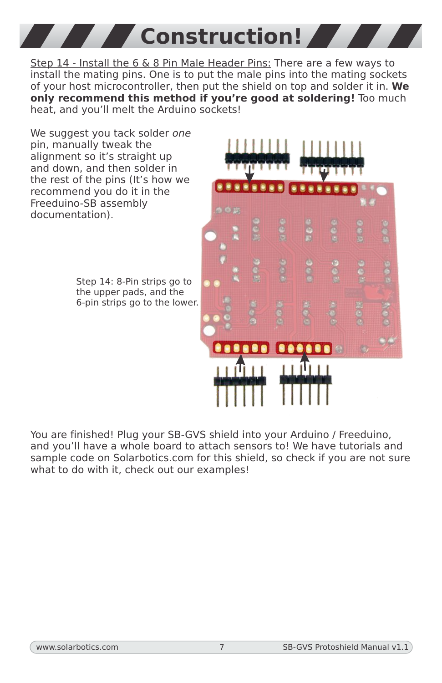**Construction!** 

Step 14 - Install the 6 & 8 Pin Male Header Pins: There are a few ways to install the mating pins. One is to put the male pins into the mating sockets of your host microcontroller, then put the shield on top and solder it in. **We only recommend this method if you're good at soldering!** Too much heat, and you'll melt the Arduino sockets!

We suggest you tack solder one pin, manually tweak the alignment so it's straight up and down, and then solder in the rest of the pins (It's how we recommend you do it in the Freeduino-SB assembly documentation).

> Step 14: 8-Pin strips go to the upper pads, and the 6-pin strips go to the lower.



You are finished! Plug your SB-GVS shield into your Arduino / Freeduino, and you'll have a whole board to attach sensors to! We have tutorials and sample code on Solarbotics.com for this shield, so check if you are not sure what to do with it, check out our examples!